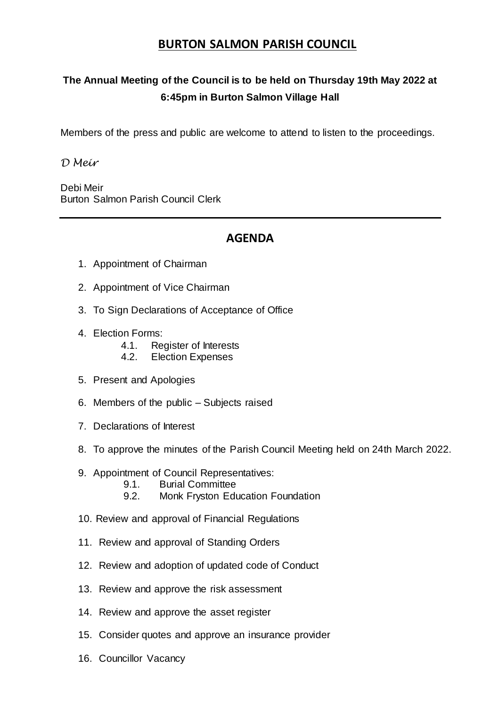## **BURTON SALMON PARISH COUNCIL**

## **The Annual Meeting of the Council is to be held on Thursday 19th May 2022 at 6:45pm in Burton Salmon Village Hall**

Members of the press and public are welcome to attend to listen to the proceedings.

*D Meir*

Debi Meir Burton Salmon Parish Council Clerk

## **AGENDA**

- 1. Appointment of Chairman
- 2. Appointment of Vice Chairman
- 3. To Sign Declarations of Acceptance of Office
- 4. Election Forms:
	- 4.1. Register of Interests<br>4.2. Flection Expenses
	- **Election Expenses**
- 5. Present and Apologies
- 6. Members of the public Subjects raised
- 7. Declarations of Interest
- 8. To approve the minutes of the Parish Council Meeting held on 24th March 2022.
- 9. Appointment of Council Representatives:
	- 9.1. Burial Committee
	- 9.2. Monk Fryston Education Foundation
- 10. Review and approval of Financial Regulations
- 11. Review and approval of Standing Orders
- 12. Review and adoption of updated code of Conduct
- 13. Review and approve the risk assessment
- 14. Review and approve the asset register
- 15. Consider quotes and approve an insurance provider
- 16. Councillor Vacancy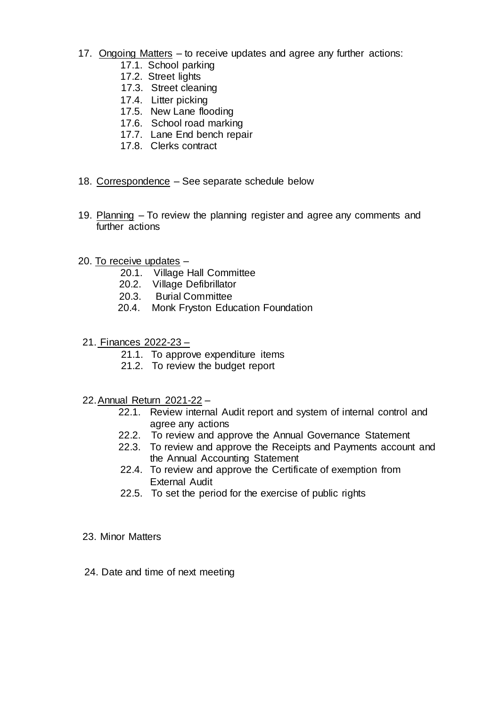- 17. Ongoing Matters to receive updates and agree any further actions:
	- 17.1. School parking
	- 17.2. Street lights
	- 17.3. Street cleaning
	- 17.4. Litter picking
	- 17.5. New Lane flooding
	- 17.6. School road marking
	- 17.7. Lane End bench repair
	- 17.8. Clerks contract
- 18. Correspondence See separate schedule below
- 19. Planning To review the planning register and agree any comments and further actions
- 20. To receive updates
	- 20.1. Village Hall Committee
	- 20.2. Village Defibrillator
	- 20.3. Burial Committee
	- 20.4. Monk Fryston Education Foundation
- 21. Finances 2022-23
	- 21.1. To approve expenditure items
	- 21.2. To review the budget report
- 22.Annual Return 2021-22
	- 22.1. Review internal Audit report and system of internal control and agree any actions
	- 22.2. To review and approve the Annual Governance Statement
	- 22.3. To review and approve the Receipts and Payments account and the Annual Accounting Statement
	- 22.4. To review and approve the Certificate of exemption from External Audit
	- 22.5. To set the period for the exercise of public rights
- 23. Minor Matters
- 24. Date and time of next meeting